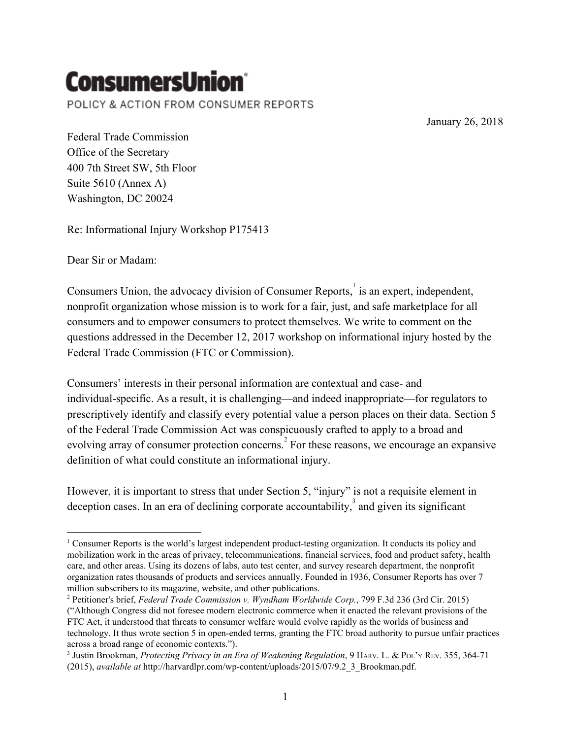## **ConsumersUnion**`

POLICY & ACTION FROM CONSUMER REPORTS

January 26, 2018

Federal Trade Commission Office of the Secretary 400 7th Street SW, 5th Floor Suite 5610 (Annex A) Washington, DC 20024

Re: Informational Injury Workshop P175413

Dear Sir or Madam:

Consumers Union, the advocacy division of Consumer Reports, is an expert, independent, nonprofit organization whose mission is to work for a fair, just, and safe marketplace for all consumers and to empower consumers to protect themselves. We write to comment on the questions addressed in the December 12, 2017 workshop on informational injury hosted by the Federal Trade Commission (FTC or Commission).

Consumers' interests in their personal information are contextual and case- and individual-specific. As a result, it is challenging—and indeed inappropriate—for regulators to prescriptively identify and classify every potential value a person places on their data. Section 5 of the Federal Trade Commission Act was conspicuously crafted to apply to a broad and evolving array of consumer protection concerns.<sup>2</sup> For these reasons, we encourage an expansive definition of what could constitute an informational injury.

However, it is important to stress that under Section 5, "injury" is not a requisite element in deception cases. In an era of declining corporate accountability, $\frac{3}{3}$  and given its significant

<sup>&</sup>lt;sup>1</sup> Consumer Reports is the world's largest independent product-testing organization. It conducts its policy and mobilization work in the areas of privacy, telecommunications, financial services, food and product safety, health care, and other areas. Using its dozens of labs, auto test center, and survey research department, the nonprofit organization rates thousands of products and services annually. Founded in 1936, Consumer Reports has over 7 million subscribers to its magazine, website, and other publications.

<sup>2</sup> Petitioner's brief, *Federal Trade Commission v. Wyndham Worldwide Corp.*, 799 F.3d 236 (3rd Cir. 2015) ("Although Congress did not foresee modern electronic commerce when it enacted the relevant provisions of the FTC Act, it understood that threats to consumer welfare would evolve rapidly as the worlds of business and technology. It thus wrote section 5 in open-ended terms, granting the FTC broad authority to pursue unfair practices across a broad range of economic contexts.").

<sup>3</sup> Justin Brookman, *Protecting Privacy in an Era of Weakening Regulation*, 9 HARV. L. & POL'<sup>Y</sup> REV. 355, 364-71 (2015), *available at* http://harvardlpr.com/wp-content/uploads/2015/07/9.2\_3\_Brookman.pdf.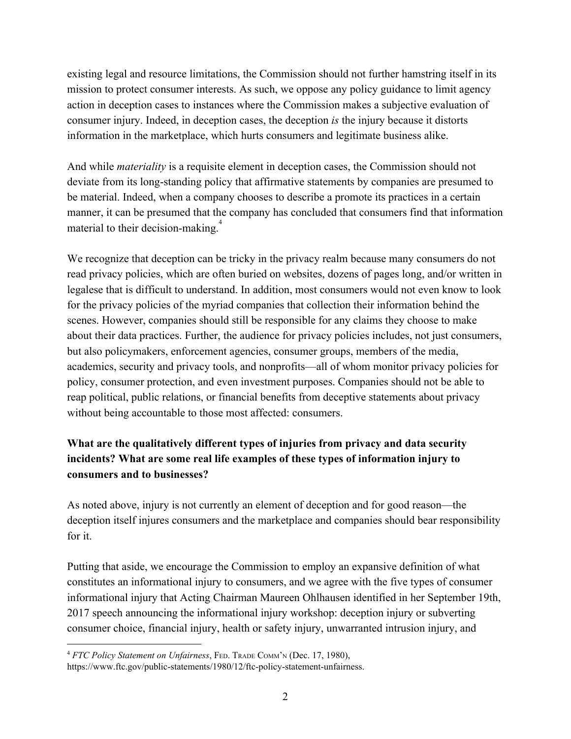existing legal and resource limitations, the Commission should not further hamstring itself in its mission to protect consumer interests. As such, we oppose any policy guidance to limit agency action in deception cases to instances where the Commission makes a subjective evaluation of consumer injury. Indeed, in deception cases, the deception *is* the injury because it distorts information in the marketplace, which hurts consumers and legitimate business alike.

And while *materiality* is a requisite element in deception cases, the Commission should not deviate from its long-standing policy that affirmative statements by companies are presumed to be material. Indeed, when a company chooses to describe a promote its practices in a certain manner, it can be presumed that the company has concluded that consumers find that information material to their decision-making.<sup>4</sup>

We recognize that deception can be tricky in the privacy realm because many consumers do not read privacy policies, which are often buried on websites, dozens of pages long, and/or written in legalese that is difficult to understand. In addition, most consumers would not even know to look for the privacy policies of the myriad companies that collection their information behind the scenes. However, companies should still be responsible for any claims they choose to make about their data practices. Further, the audience for privacy policies includes, not just consumers, but also policymakers, enforcement agencies, consumer groups, members of the media, academics, security and privacy tools, and nonprofits—all of whom monitor privacy policies for policy, consumer protection, and even investment purposes. Companies should not be able to reap political, public relations, or financial benefits from deceptive statements about privacy without being accountable to those most affected: consumers.

## **What are the qualitatively different types of injuries from privacy and data security incidents? What are some real life examples of these types of information injury to consumers and to businesses?**

As noted above, injury is not currently an element of deception and for good reason—the deception itself injures consumers and the marketplace and companies should bear responsibility for it.

Putting that aside, we encourage the Commission to employ an expansive definition of what constitutes an informational injury to consumers, and we agree with the five types of consumer informational injury that Acting Chairman Maureen Ohlhausen identified in her September 19th, 2017 speech announcing the informational injury workshop: deception injury or subverting consumer choice, financial injury, health or safety injury, unwarranted intrusion injury, and

<sup>4</sup> *FTC Policy Statement on Unfairness*, FED. TRADE COMM'<sup>N</sup> (Dec. 17, 1980),

https://www.ftc.gov/public-statements/1980/12/ftc-policy-statement-unfairness.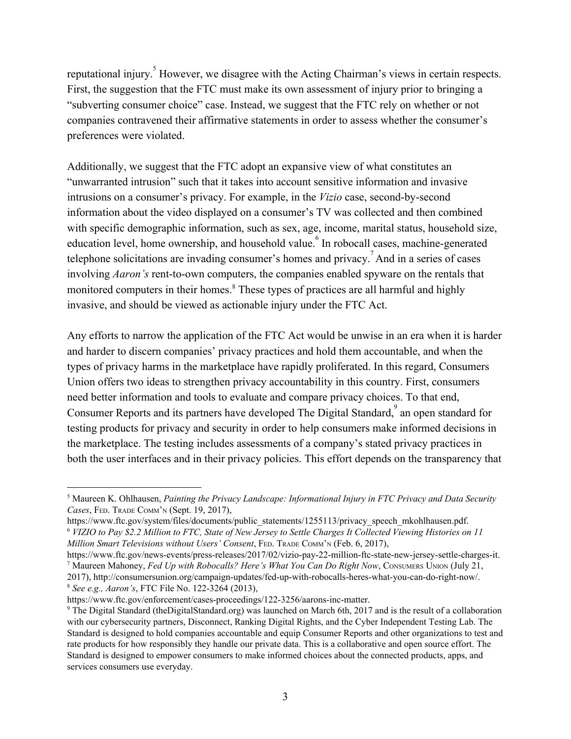reputational injury.<sup>5</sup> However, we disagree with the Acting Chairman's views in certain respects. First, the suggestion that the FTC must make its own assessment of injury prior to bringing a "subverting consumer choice" case. Instead, we suggest that the FTC rely on whether or not companies contravened their affirmative statements in order to assess whether the consumer's preferences were violated.

Additionally, we suggest that the FTC adopt an expansive view of what constitutes an "unwarranted intrusion" such that it takes into account sensitive information and invasive intrusions on a consumer's privacy. For example, in the *Vizio* case, second-by-second information about the video displayed on a consumer's TV was collected and then combined with specific demographic information, such as sex, age, income, marital status, household size, education level, home ownership, and household value. <sup>6</sup> In robocall cases, machine-generated telephone solicitations are invading consumer's homes and privacy.<sup>7</sup> And in a series of cases involving *Aaron's* rent-to-own computers, the companies enabled spyware on the rentals that monitored computers in their homes.<sup>8</sup> These types of practices are all harmful and highly invasive, and should be viewed as actionable injury under the FTC Act.

Any efforts to narrow the application of the FTC Act would be unwise in an era when it is harder and harder to discern companies' privacy practices and hold them accountable, and when the types of privacy harms in the marketplace have rapidly proliferated. In this regard, Consumers Union offers two ideas to strengthen privacy accountability in this country. First, consumers need better information and tools to evaluate and compare privacy choices. To that end, Consumer Reports and its partners have developed The Digital Standard, an open standard for testing products for privacy and security in order to help consumers make informed decisions in the marketplace. The testing includes assessments of a company's stated privacy practices in both the user interfaces and in their privacy policies. This effort depends on the transparency that

<sup>5</sup> Maureen K. Ohlhausen, *Painting the Privacy Landscape: Informational Injury in FTC Privacy and Data Security Cases*, FED. TRADE COMM'<sup>N</sup> (Sept. 19, 2017),

https://www.ftc.gov/system/files/documents/public\_statements/1255113/privacy\_speech\_mkohlhausen.pdf. <sup>6</sup> VIZIO to Pay \$2.2 Million to FTC, State of New Jersey to Settle Charges It Collected Viewing Histories on 11 *Million Smart Televisions without Users' Consent*, FED. TRADE COMM'<sup>N</sup> (Feb. 6, 2017),

https://www.ftc.gov/news-events/press-releases/2017/02/vizio-pay-22-million-ftc-state-new-jersey-settle-charges-it. <sup>7</sup> Maureen Mahoney, *Fed Up with Robocalls? Here's What You Can Do Right Now*, CONSUMERS UNION (July 21, 2017), http://consumersunion.org/campaign-updates/fed-up-with-robocalls-heres-what-you-can-do-right-now/. <sup>8</sup> *See e.g., Aaron's*, FTC File No. 122-3264 (2013),

https://www.ftc.gov/enforcement/cases-proceedings/122-3256/aarons-inc-matter.

<sup>9</sup> The Digital Standard (theDigitalStandard.org) was launched on March 6th, 2017 and is the result of a collaboration with our cybersecurity partners, Disconnect, Ranking Digital Rights, and the Cyber Independent Testing Lab. The Standard is designed to hold companies accountable and equip Consumer Reports and other organizations to test and rate products for how responsibly they handle our private data. This is a collaborative and open source effort. The Standard is designed to empower consumers to make informed choices about the connected products, apps, and services consumers use everyday.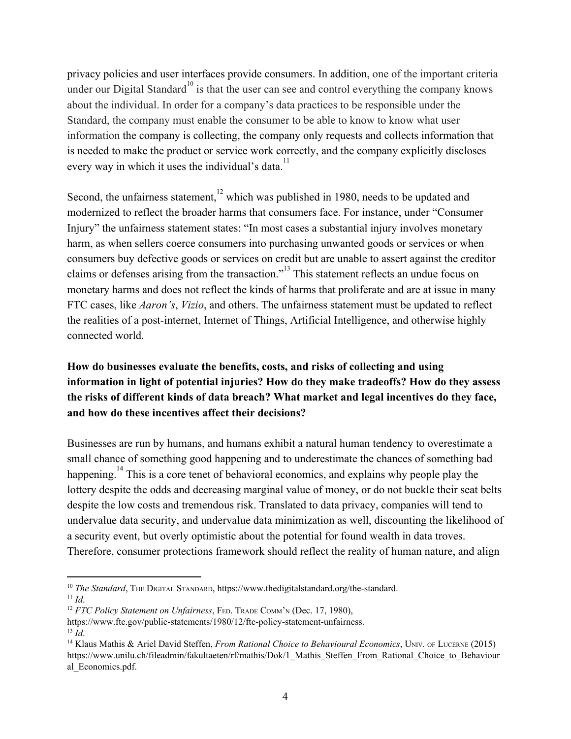privacy policies and user interfaces provide consumers. In addition, one of the important criteria under our Digital Standard<sup>10</sup> is that the user can see and control everything the company knows about the individual. In order for a company's data practices to be responsible under the Standard, the company must enable the consumer to be able to know to know what user information the company is collecting, the company only requests and collects information that is needed to make the product or service work correctly, and the company explicitly discloses every way in which it uses the individual's data.<sup>11</sup>

Second, the unfairness statement, $^{12}$  which was published in 1980, needs to be updated and modernized to reflect the broader harms that consumers face. For instance, under "Consumer Injury" the unfairness statement states: "In most cases a substantial injury involves monetary harm, as when sellers coerce consumers into purchasing unwanted goods or services or when consumers buy defective goods or services on credit but are unable to assert against the creditor claims or defenses arising from the transaction."<sup>13</sup> This statement reflects an undue focus on monetary harms and does not reflect the kinds of harms that proliferate and are at issue in many FTC cases, like *Aaron's*, *Vizio*, and others. The unfairness statement must be updated to reflect the realities of a post-internet, Internet of Things, Artificial Intelligence, and otherwise highly connected world.

## **How do businesses evaluate the benefits, costs, and risks of collecting and using information in light of potential injuries? How do they make tradeoffs? How do they assess the risks of different kinds of data breach? What market and legal incentives do they face, and how do these incentives affect their decisions?**

Businesses are run by humans, and humans exhibit a natural human tendency to overestimate a small chance of something good happening and to underestimate the chances of something bad happening.<sup>14</sup> This is a core tenet of behavioral economics, and explains why people play the lottery despite the odds and decreasing marginal value of money, or do not buckle their seat belts despite the low costs and tremendous risk. Translated to data privacy, companies will tend to undervalue data security, and undervalue data minimization as well, discounting the likelihood of a security event, but overly optimistic about the potential for found wealth in data troves. Therefore, consumer protections framework should reflect the reality of human nature, and align

<sup>&</sup>lt;sup>10</sup> *The Standard*, THE DIGITAL STANDARD, https://www.thedigitalstandard.org/the-standard. <sup>11</sup> *Id*.

<sup>12</sup> *FTC Policy Statement on Unfairness*, FED. TRADE COMM'<sup>N</sup> (Dec. 17, 1980),

https://www.ftc.gov/public-statements/1980/12/ftc-policy-statement-unfairness. <sup>13</sup> *Id*.

<sup>14</sup> Klaus Mathis & Ariel David Steffen, *From Rational Choice to Behavioural Economics*, UNIV. OF LUCERNE (2015) https://www.unilu.ch/fileadmin/fakultaeten/rf/mathis/Dok/1\_Mathis\_Steffen\_From\_Rational\_Choice\_to\_Behaviour al\_Economics.pdf.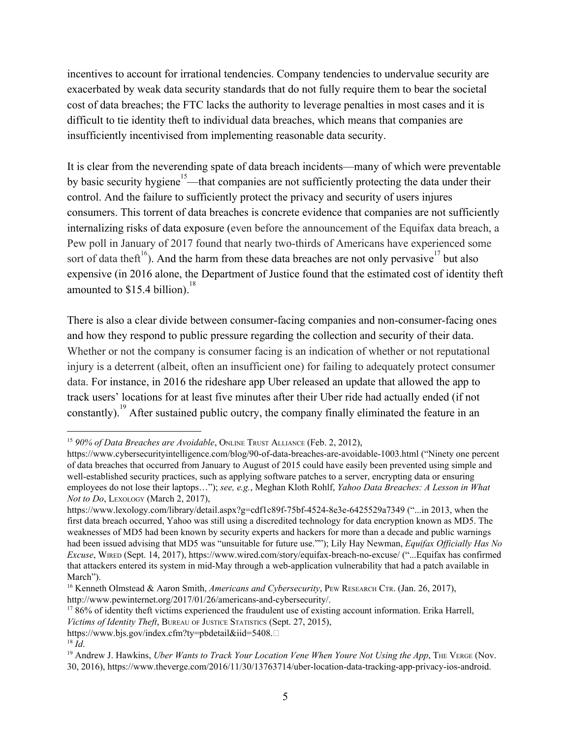incentives to account for irrational tendencies. Company tendencies to undervalue security are exacerbated by weak data security standards that do not fully require them to bear the societal cost of data breaches; the FTC lacks the authority to leverage penalties in most cases and it is difficult to tie identity theft to individual data breaches, which means that companies are insufficiently incentivised from implementing reasonable data security.

It is clear from the neverending spate of data breach incidents—many of which were preventable by basic security hygiene<sup>15</sup>—that companies are not sufficiently protecting the data under their control. And the failure to sufficiently protect the privacy and security of users injures consumers. This torrent of data breaches is concrete evidence that companies are not sufficiently internalizing risks of data exposure (even before the announcement of the Equifax data breach, a Pew poll in January of 2017 found that nearly two-thirds of Americans have experienced some sort of data theft<sup>16</sup>). And the harm from these data breaches are not only pervasive  $17$  but also expensive (in 2016 alone, the Department of Justice found that the estimated cost of identity theft amounted to  $$15.4$  billion).<sup>18</sup>

There is also a clear divide between consumer-facing companies and non-consumer-facing ones and how they respond to public pressure regarding the collection and security of their data. Whether or not the company is consumer facing is an indication of whether or not reputational injury is a deterrent (albeit, often an insufficient one) for failing to adequately protect consumer data. For instance, in 2016 the rideshare app Uber released an update that allowed the app to track users' locations for at least five minutes after their Uber ride had actually ended (if not constantly).<sup>19</sup> After sustained public outcry, the company finally eliminated the feature in an

<sup>15</sup> *90% of Data Breaches are Avoidable*, ONLINE TRUST ALLIANCE (Feb. 2, 2012),

https://www.cybersecurityintelligence.com/blog/90-of-data-breaches-are-avoidable-1003.html ("Ninety one percent of data breaches that occurred from January to August of 2015 could have easily been prevented using simple and well-established security practices, such as applying software patches to a server, encrypting data or ensuring employees do not lose their laptops…"); *see, e.g.*, Meghan Kloth Rohlf, *Yahoo Data Breaches: A Lesson in What Not to Do*, LEXOLOGY (March 2, 2017),

https://www.lexology.com/library/detail.aspx?g=cdf1c89f-75bf-4524-8e3e-6425529a7349 ("...in 2013, when the first data breach occurred, Yahoo was still using a discredited technology for data encryption known as MD5. The weaknesses of MD5 had been known by security experts and hackers for more than a decade and public warnings had been issued advising that MD5 was "unsuitable for future use.""); Lily Hay Newman, *Equifax Of icially Has No Excuse*, WIRED (Sept. 14, 2017), https://www.wired.com/story/equifax-breach-no-excuse/ ("...Equifax has confirmed that attackers entered its system in mid-May through a web-application vulnerability that had a patch available in March").

<sup>&</sup>lt;sup>16</sup> Kenneth Olmstead & Aaron Smith, *Americans and Cybersecurity*, PEW RESEARCH CTR. (Jan. 26, 2017), http://www.pewinternet.org/2017/01/26/americans-and-cybersecurity/.

<sup>&</sup>lt;sup>17</sup> 86% of identity theft victims experienced the fraudulent use of existing account information. Erika Harrell,

*Victims of Identity Theft*, BUREAU OF JUSTICE STATISTICS (Sept. 27, 2015),

https://www.bjs.gov/index.cfm?ty=pbdetail&iid=5408.

<sup>18</sup> *Id*.

<sup>19</sup> Andrew J. Hawkins, *Uber Wants to Track Your Location Vene When Youre Not Using the App*, THE VERGE (Nov. 30, 2016), https://www.theverge.com/2016/11/30/13763714/uber-location-data-tracking-app-privacy-ios-android.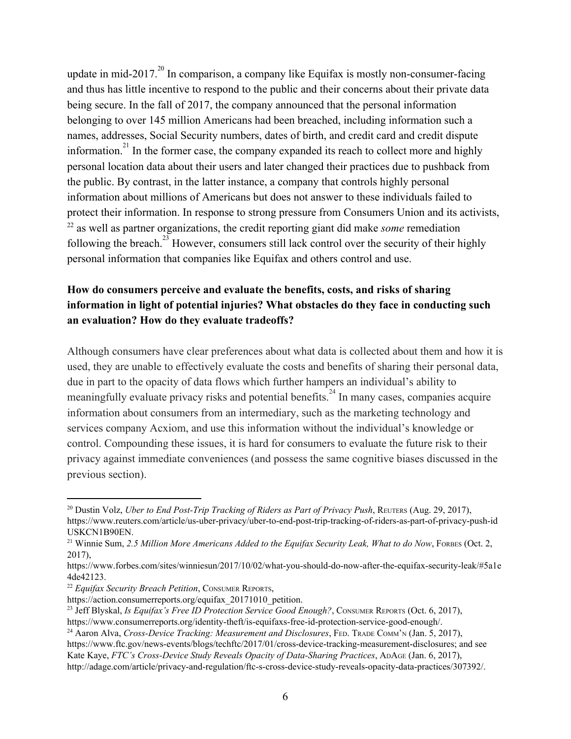update in mid-2017. $^{20}$  In comparison, a company like Equifax is mostly non-consumer-facing and thus has little incentive to respond to the public and their concerns about their private data being secure. In the fall of 2017, the company announced that the personal information belonging to over 145 million Americans had been breached, including information such a names, addresses, Social Security numbers, dates of birth, and credit card and credit dispute information.<sup>21</sup> In the former case, the company expanded its reach to collect more and highly personal location data about their users and later changed their practices due to pushback from the public. By contrast, in the latter instance, a company that controls highly personal information about millions of Americans but does not answer to these individuals failed to protect their information. In response to strong pressure from Consumers Union and its activists, <sup>22</sup> as well as partner organizations, the credit reporting giant did make *some* remediation following the breach.<sup>23</sup> However, consumers still lack control over the security of their highly personal information that companies like Equifax and others control and use.

## **How do consumers perceive and evaluate the benefits, costs, and risks of sharing information in light of potential injuries? What obstacles do they face in conducting such an evaluation? How do they evaluate tradeoffs?**

Although consumers have clear preferences about what data is collected about them and how it is used, they are unable to effectively evaluate the costs and benefits of sharing their personal data, due in part to the opacity of data flows which further hampers an individual's ability to meaningfully evaluate privacy risks and potential benefits.<sup>24</sup> In many cases, companies acquire information about consumers from an intermediary, such as the marketing technology and services company Acxiom, and use this information without the individual's knowledge or control. Compounding these issues, it is hard for consumers to evaluate the future risk to their privacy against immediate conveniences (and possess the same cognitive biases discussed in the previous section).

<sup>24</sup> Aaron Alva, *Cross-Device Tracking: Measurement and Disclosures*, FED. TRADE COMM'<sup>N</sup> (Jan. 5, 2017),

<sup>20</sup> Dustin Volz, *Uber to End Post-Trip Tracking of Riders as Part of Privacy Push*, REUTERS (Aug. 29, 2017), https://www.reuters.com/article/us-uber-privacy/uber-to-end-post-trip-tracking-of-riders-as-part-of-privacy-push-id USKCN1B90EN.

<sup>21</sup> Winnie Sum, *2.5 Million More Americans Added to the Equifax Security Leak, What to do Now*, FORBES (Oct. 2, 2017),

https://www.forbes.com/sites/winniesun/2017/10/02/what-you-should-do-now-after-the-equifax-security-leak/#5a1e 4de42123.

<sup>22</sup> *Equifax Security Breach Petition*, CONSUMER REPORTS,

https://action.consumerreports.org/equifax 20171010 petition.

<sup>23</sup> Jeff Blyskal, *Is Equifax's Free ID Protection Service Good Enough?*, CONSUMER REPORTS (Oct. 6, 2017), https://www.consumerreports.org/identity-theft/is-equifaxs-free-id-protection-service-good-enough/.

https://www.ftc.gov/news-events/blogs/techftc/2017/01/cross-device-tracking-measurement-disclosures; and see

Kate Kaye, *FTC's Cross-Device Study Reveals Opacity of Data-Sharing Practices*, ADAGE (Jan. 6, 2017), http://adage.com/article/privacy-and-regulation/ftc-s-cross-device-study-reveals-opacity-data-practices/307392/.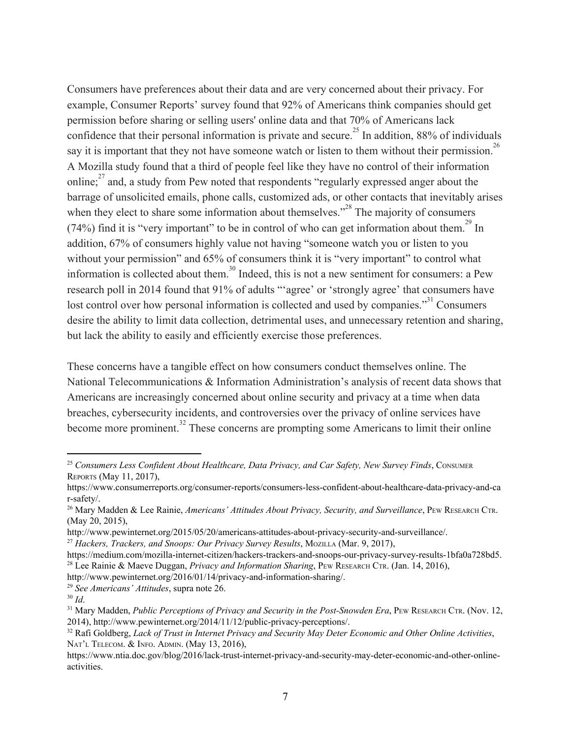Consumers have preferences about their data and are very concerned about their privacy. For example, Consumer Reports' survey found that 92% of Americans think companies should get permission before sharing or selling users' online data and that 70% of Americans lack confidence that their personal information is private and secure.<sup>25</sup> In addition, 88% of individuals say it is important that they not have someone watch or listen to them without their permission.<sup>26</sup> A Mozilla study found that a third of people feel like they have no control of their information online; $2<sup>7</sup>$  and, a study from Pew noted that respondents "regularly expressed anger about the barrage of unsolicited emails, phone calls, customized ads, or other contacts that inevitably arises when they elect to share some information about themselves."<sup> $28$ </sup> The majority of consumers (74%) find it is "very important" to be in control of who can get information about them.<sup>29</sup> In addition, 67% of consumers highly value not having "someone watch you or listen to you without your permission" and 65% of consumers think it is "very important" to control what information is collected about them.<sup>30</sup> Indeed, this is not a new sentiment for consumers: a Pew research poll in 2014 found that 91% of adults "'agree' or 'strongly agree' that consumers have lost control over how personal information is collected and used by companies. $31$ <sup>31</sup> Consumers desire the ability to limit data collection, detrimental uses, and unnecessary retention and sharing, but lack the ability to easily and efficiently exercise those preferences.

These concerns have a tangible effect on how consumers conduct themselves online. The National Telecommunications & Information Administration's analysis of recent data shows that Americans are increasingly concerned about online security and privacy at a time when data breaches, cybersecurity incidents, and controversies over the privacy of online services have become more prominent.<sup>32</sup> These concerns are prompting some Americans to limit their online

<sup>25</sup> *Consumers Less Confident About Healthcare, Data Privacy, and Car Safety, New Survey Finds*, CONSUMER REPORTS (May 11, 2017),

https://www.consumerreports.org/consumer-reports/consumers-less-confident-about-healthcare-data-privacy-and-ca r-safety/.

<sup>26</sup> Mary Madden & Lee Rainie, *Americans' Attitudes About Privacy, Security, and Surveillance*, PEW RESEARCH CTR. (May 20, 2015),

http://www.pewinternet.org/2015/05/20/americans-attitudes-about-privacy-security-and-surveillance/.

<sup>27</sup> *Hackers, Trackers, and Snoops: Our Privacy Survey Results*, MOZILLA (Mar. 9, 2017),

https://medium.com/mozilla-internet-citizen/hackers-trackers-and-snoops-our-privacy-survey-results-1bfa0a728bd5. <sup>28</sup> Lee Rainie & Maeve Duggan, *Privacy and Information Sharing*, PEW RESEARCH CTR. (Jan. 14, 2016),

http://www.pewinternet.org/2016/01/14/privacy-and-information-sharing/.

<sup>29</sup> *See Americans' Attitudes*, supra note 26.

<sup>30</sup> *Id*.

<sup>31</sup> Mary Madden, *Public Perceptions of Privacy and Security in the Post-Snowden Era*, PEW RESEARCH CTR. (Nov. 12, 2014), http://www.pewinternet.org/2014/11/12/public-privacy-perceptions/.

<sup>32</sup> Rafi Goldberg, *Lack of Trust in Internet Privacy and Security May Deter Economic and Other Online Activities*, NAT'<sup>L</sup> TELECOM. & INFO. ADMIN. (May 13, 2016),

https://www.ntia.doc.gov/blog/2016/lack-trust-internet-privacy-and-security-may-deter-economic-and-other-onlineactivities.